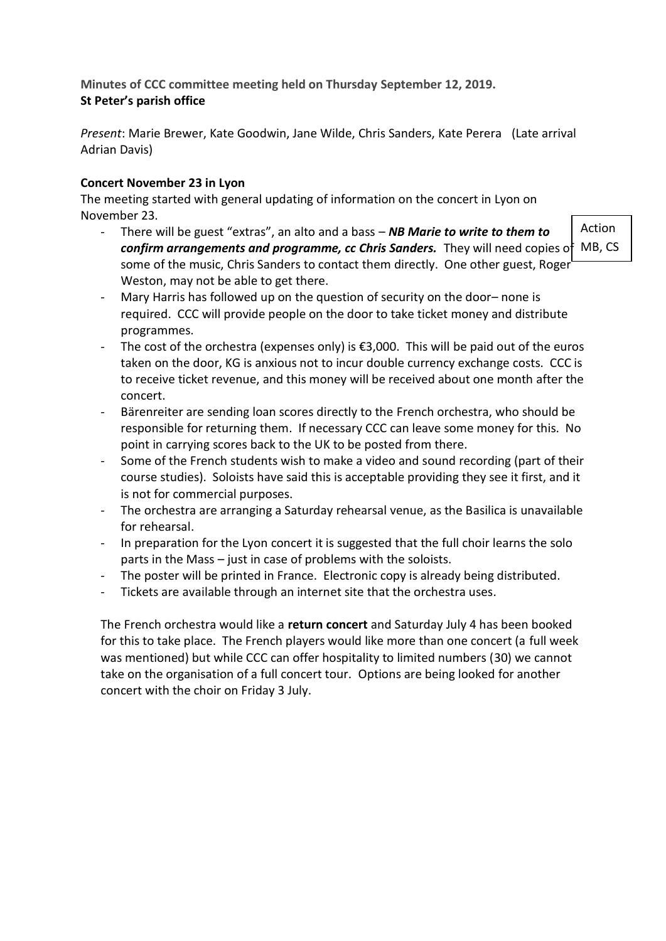**Minutes of CCC committee meeting held on Thursday September 12, 2019. St Peter's parish office**

*Present*: Marie Brewer, Kate Goodwin, Jane Wilde, Chris Sanders, Kate Perera (Late arrival Adrian Davis)

## **Concert November 23 in Lyon**

The meeting started with general updating of information on the concert in Lyon on November 23.

- There will be guest "extras", an alto and a bass – *NB Marie to write to them to confirm arrangements and programme, cc Chris Sanders.* They will need copies of MB, CSsome of the music, Chris Sanders to contact them directly. One other guest, Roger Weston, may not be able to get there.

Action

- Mary Harris has followed up on the question of security on the door– none is required. CCC will provide people on the door to take ticket money and distribute programmes.
- The cost of the orchestra (expenses only) is €3,000. This will be paid out of the euros taken on the door, KG is anxious not to incur double currency exchange costs. CCC is to receive ticket revenue, and this money will be received about one month after the concert.
- Bärenreiter are sending loan scores directly to the French orchestra, who should be responsible for returning them. If necessary CCC can leave some money for this. No point in carrying scores back to the UK to be posted from there.
- Some of the French students wish to make a video and sound recording (part of their course studies). Soloists have said this is acceptable providing they see it first, and it is not for commercial purposes.
- The orchestra are arranging a Saturday rehearsal venue, as the Basilica is unavailable for rehearsal.
- In preparation for the Lyon concert it is suggested that the full choir learns the solo parts in the Mass – just in case of problems with the soloists.
- The poster will be printed in France. Electronic copy is already being distributed.
- Tickets are available through an internet site that the orchestra uses.

The French orchestra would like a **return concert** and Saturday July 4 has been booked for this to take place. The French players would like more than one concert (a full week was mentioned) but while CCC can offer hospitality to limited numbers (30) we cannot take on the organisation of a full concert tour. Options are being looked for another concert with the choir on Friday 3 July.